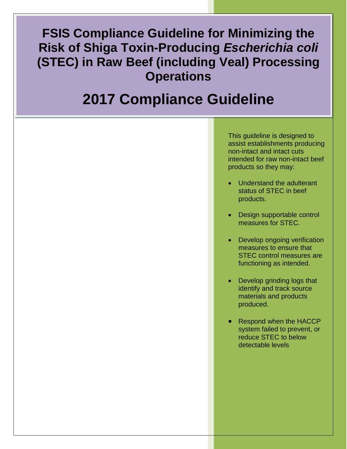**FSIS Compliance Guideline for Minimizing the Risk of Shiga Toxin-Producing** *Escherichia coli* **(STEC) in Raw Beef (including Veal) Processing Operations**

# l<br>I **2017 Compliance Guideline**

This guideline is designed to assist establishments producing non-intact and intact cuts intended for raw non-intact beef products so they may:

- Understand the adulterant status of STEC in beef products.
- Design supportable control measures for STEC.
- Develop ongoing verification measures to ensure that STEC control measures are functioning as intended.
- Develop grinding logs that identify and track source materials and products produced.
- Respond when the HACCP system failed to prevent, or reduce STEC to below detectable levels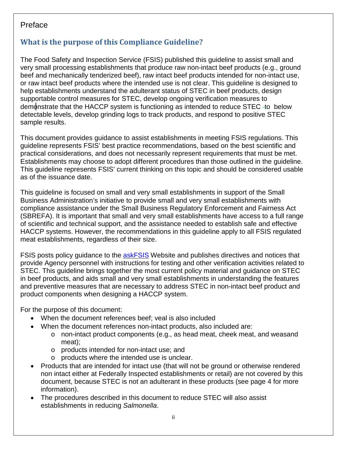# Preface

# <span id="page-1-0"></span>**What is the purpose of this Compliance Guideline?**

The Food Safety and Inspection Service (FSIS) published this guideline to assist small and very small processing establishments that produce raw non-intact beef products (e.g., ground beef and mechanically tenderized beef), raw intact beef products intended for non-intact use, or raw intact beef products where the intended use is not clear. This guideline is designed to help establishments understand the adulterant status of STEC in beef products, design supportable control measures for STEC, develop ongoing verification measures to demonstrate that the HACCP system is functioning as intended to reduce STEC -to below detectable levels, develop grinding logs to track products, and respond to positive STEC sample results.

This document provides guidance to assist establishments in meeting FSIS regulations. This guideline represents FSIS' best practice recommendations, based on the best scientific and practical considerations, and does not necessarily represent requirements that must be met. Establishments may choose to adopt different procedures than those outlined in the guideline. This guideline represents FSIS' current thinking on this topic and should be considered usable as of the issuance date.

This guideline is focused on small and very small establishments in support of the Small Business Administration's initiative to provide small and very small establishments with compliance assistance under the Small Business Regulatory Enforcement and Fairness Act (SBREFA). It is important that small and very small establishments have access to a full range of scientific and technical support, and the assistance needed to establish safe and effective HACCP systems. However, the recommendations in this guideline apply to all FSIS regulated meat establishments, regardless of their size.

FSIS posts policy guidance to the [askFSIS](http://askfsis.custhelp.com/) Website and publishes directives and notices that provide Agency personnel with instructions for testing and other verification activities related to STEC. This guideline brings together the most current policy material and guidance on STEC in beef products, and aids small and very small establishments in understanding the features and preventive measures that are necessary to address STEC in non-intact beef product and product components when designing a HACCP system.

For the purpose of this document:

- When the document references beef; veal is also included
- When the document references non-intact products, also included are:
	- o non-intact product components (e.g., as head meat, cheek meat, and weasand meat);
	- o products intended for non-intact use; and
	- o products where the intended use is unclear.
- Products that are intended for intact use (that will not be ground or otherwise rendered non intact either at Federally Inspected establishments or retail) are not covered by this document, because STEC is not an adulterant in these products (see page 4 for more information).
- The procedures described in this document to reduce STEC will also assist establishments in reducing *Salmonella*.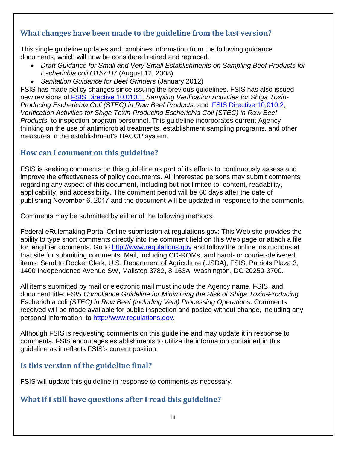# <span id="page-2-0"></span>**What changes have been made to the guideline from the last version?**

This single guideline updates and combines information from the following guidance documents, which will now be considered retired and replaced.

- *Draft Guidance for Small and Very Small Establishments on Sampling Beef Products for Escherichia coli O157:H7* (August 12, 2008)
- *Sanitation Guidance for Beef Grinders* (January 2012)

FSIS has made policy changes since issuing the previous guidelines. FSIS has also issued new revisions of [FSIS Directive 10,010.1,](http://www.fsis.usda.gov/wps/wcm/connect/c100dd64-e2e7-408a-8b27-ebb378959071/10010.1.pdf?MOD=AJPERES) *Sampling Verification Activities for Shiga Toxin-Producing Escherichia Coli (STEC) in Raw Beef Products,* and [FSIS Directive 10,010.2,](http://www.fsis.usda.gov/wps/wcm/connect/01356525-06b7-4f20-af3a-037bf24dc16e/10010.2.pdf?MOD=AJPERES) *Verification Activities for Shiga Toxin-Producing Escherichia Coli (STEC) in Raw Beef Products*, to inspection program personnel. This guideline incorporates current Agency thinking on the use of antimicrobial treatments, establishment sampling programs, and other measures in the establishment's HACCP system.

# <span id="page-2-1"></span>**How can I comment on this guideline?**

FSIS is seeking comments on this guideline as part of its efforts to continuously assess and improve the effectiveness of policy documents. All interested persons may submit comments regarding any aspect of this document, including but not limited to: content, readability, applicability, and accessibility. The comment period will be 60 days after the date of publishing November 6, 2017 and the document will be updated in response to the comments.

Comments may be submitted by either of the following methods:

Federal eRulemaking Portal Online submission at regulations.gov: This Web site provides the ability to type short comments directly into the comment field on this Web page or attach a file for lengthier comments. Go to [http://www.regulations.gov](http://www.regulations.gov/) and follow the online instructions at that site for submitting comments. Mail, including CD-ROMs, and hand- or courier-delivered items: Send to Docket Clerk, U.S. Department of Agriculture (USDA), FSIS, Patriots Plaza 3, 1400 Independence Avenue SW, Mailstop 3782, 8-163A, Washington, DC 20250-3700.

All items submitted by mail or electronic mail must include the Agency name, FSIS, and document title: *FSIS Compliance Guideline for Minimizing the Risk of Shiga Toxin-Producing*  Escherichia coli *(STEC) in Raw Beef (including Veal) Processing Operations*. Comments received will be made available for public inspection and posted without change, including any personal information, to [http://www.regulations.gov.](http://www.regulations.gov/)

Although FSIS is requesting comments on this guideline and may update it in response to comments, FSIS encourages establishments to utilize the information contained in this guideline as it reflects FSIS's current position.

# <span id="page-2-2"></span>**Is this version of the guideline final?**

FSIS will update this guideline in response to comments as necessary.

## <span id="page-2-3"></span>**What if I still have questions after I read this guideline?**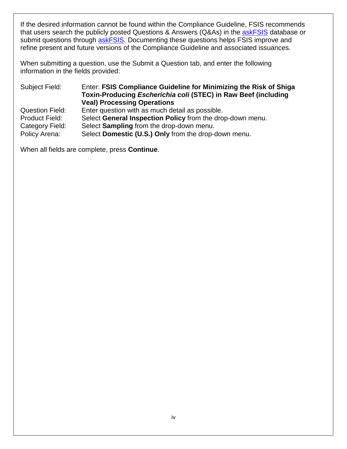If the desired information cannot be found within the Compliance Guideline, FSIS recommends that users search the publicly posted Questions & Answers (Q&As) in the [askFSIS](http://askfsis.custhelp.com/) database or submit questions through [askFSIS.](http://askfsis.custhelp.com/) Documenting these questions helps FSIS improve and refine present and future versions of the Compliance Guideline and associated issuances.

When submitting a question, use the Submit a Question tab, and enter the following information in the fields provided:

Subject Field: Enter: **FSIS Compliance Guideline for Minimizing the Risk of Shiga Toxin-Producing** *Escherichia coli* **(STEC) in Raw Beef (including Veal) Processing Operations** Question Field: Enter question with as much detail as possible. Product Field: Select **General Inspection Policy** from the drop-down menu. Category Field: Select **Sampling** from the drop-down menu. Policy Arena: Select **Domestic (U.S.) Only** from the drop-down menu.

When all fields are complete, press **Continue**.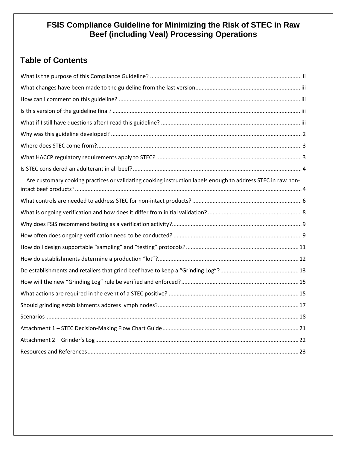# **FSIS Compliance Guideline for Minimizing the Risk of STEC in Raw Beef (including Veal) Processing Operations**

# **Table of Contents**

| Are customary cooking practices or validating cooking instruction labels enough to address STEC in raw non- |  |
|-------------------------------------------------------------------------------------------------------------|--|
|                                                                                                             |  |
|                                                                                                             |  |
|                                                                                                             |  |
|                                                                                                             |  |
|                                                                                                             |  |
|                                                                                                             |  |
|                                                                                                             |  |
|                                                                                                             |  |
|                                                                                                             |  |
|                                                                                                             |  |
|                                                                                                             |  |
|                                                                                                             |  |
|                                                                                                             |  |
|                                                                                                             |  |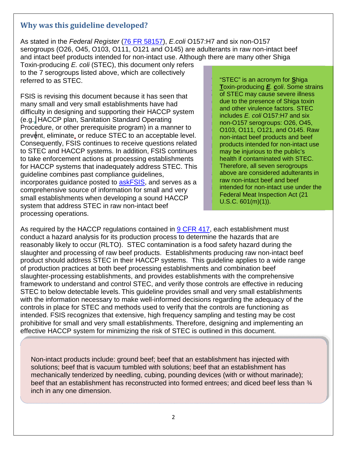## <span id="page-5-0"></span>**Why was this guideline developed?**

As stated in the *Federal Register* [\(76 FR 58157\)](https://www.gpo.gov/fdsys/pkg/FR-2011-09-20/pdf/2011-24043.pdf), *E.coli* O157:H7 and six non-O157 serogroups (O26, O45, O103, O111, O121 and O145) are adulterants in raw non-intact beef and intact beef products intended for non-intact use. Although there are many other Shiga

Toxin-producing *E. coli* (STEC), this document only refers to the 7 serogroups listed above, which are collectively referred to as STEC.

FSIS is revising this document because it has seen that many small and very small establishments have had difficulty in designing and supporting their HACCP system (e.g., HACCP plan, Sanitation Standard Operating Procedure, or other prerequisite program) in a manner to prevent, eliminate, or reduce STEC to an acceptable level. Consequently, FSIS continues to receive questions related to STEC and HACCP systems. In addition, FSIS continues to take enforcement actions at processing establishments for HACCP systems that inadequately address STEC. This guideline combines past compliance guidelines, incorporates guidance posted to [askFSIS,](http://askfsis.custhelp.com/) and serves as a comprehensive source of information for small and very small establishments when developing a sound HACCP system that address STEC in raw non-intact beef processing operations.

"STEC" is an acronym for **S**higa **T**oxin-producing *E. coli*. Some strains of STEC may cause severe illness due to the presence of Shiga toxin and other virulence factors. STEC includes *E. coli* O157:H7 and six non-O157 serogroups: O26, O45, O103, O111, O121, and O145. Raw non-intact beef products and beef products intended for non-intact use may be injurious to the public's health if contaminated with STEC. Therefore, all seven serogroups above are considered adulterants in raw non-intact beef and beef intended for non-intact use under the Federal Meat Inspection Act (21 U.S.C. 601(m)(1)).

As required by the HACCP regulations contained in [9 CFR 417,](http://www.ecfr.gov/cgi-bin/retrieveECFR?gp=&SID=a929745cbf79248cd0fdc42e61afad93&mc=true&n=pt9.2.417&r=PART&ty=HTML) each establishment must conduct a hazard analysis for its production process to determine the hazards that are reasonably likely to occur (RLTO). STEC contamination is a food safety hazard during the slaughter and processing of raw beef products. Establishments producing raw non-intact beef product should address STEC in their HACCP systems. This guideline applies to a wide range of production practices at both beef processing establishments and combination beef slaughter-processing establishments, and provides establishments with the comprehensive framework to understand and control STEC, and verify those controls are effective in reducing STEC to below detectable levels. This guideline provides small and very small establishments with the information necessary to make well-informed decisions regarding the adequacy of the controls in place for STEC and methods used to verify that the controls are functioning as intended. FSIS recognizes that extensive, high frequency sampling and testing may be cost prohibitive for small and very small establishments. Therefore, designing and implementing an effective HACCP system for minimizing the risk of STEC is outlined in this document.

Non-intact products include: ground beef; beef that an establishment has injected with solutions; beef that is vacuum tumbled with solutions; beef that an establishment has mechanically tenderized by needling, cubing, pounding devices (with or without marinade); beef that an establishment has reconstructed into formed entrees; and diced beef less than  $\frac{3}{4}$ inch in any one dimension.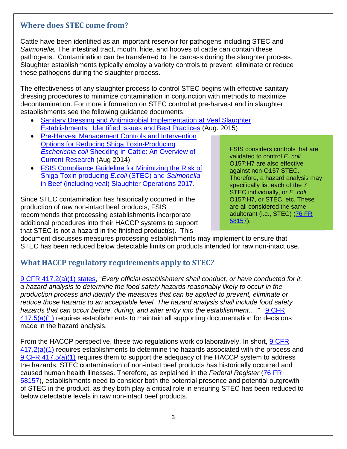## <span id="page-6-0"></span>**Where does STEC come from?**

Cattle have been identified as an important reservoir for pathogens including STEC and *Salmonella.* The intestinal tract, mouth, hide, and hooves of cattle can contain these pathogens. Contamination can be transferred to the carcass during the slaughter process. Slaughter establishments typically employ a variety controls to prevent, eliminate or reduce these pathogens during the slaughter process.

The effectiveness of any slaughter process to control STEC begins with effective sanitary dressing procedures to minimize contamination in conjunction with methods to maximize decontamination. For more information on STEC control at pre-harvest and in slaughter establishments see the following guidance documents:

- [Sanitary Dressing and Antimicrobial Implementation at Veal Slaughter](http://www.fsis.usda.gov/wps/wcm/connect/ca5da196-7d99-453e-afcd-ccd3321ec131/Veal-Sampling-092015.pdf?MOD=AJPERES)  Establishments: [Identified Issues and Best Practices](http://www.fsis.usda.gov/wps/wcm/connect/ca5da196-7d99-453e-afcd-ccd3321ec131/Veal-Sampling-092015.pdf?MOD=AJPERES) (Aug. 2015)
- [Pre-Harvest Management Controls and Intervention](http://www.fsis.usda.gov/wps/wcm/connect/d5314cc7-1ef7-4586-bca2-f2ed86d9532f/Reducing-Ecoli-Shedding-in-Cattle.pdf?MOD=AJPERES)  [Options for Reducing Shiga Toxin-Producing](http://www.fsis.usda.gov/wps/wcm/connect/d5314cc7-1ef7-4586-bca2-f2ed86d9532f/Reducing-Ecoli-Shedding-in-Cattle.pdf?MOD=AJPERES)  *Escherichia coli* [Shedding in Cattle: An Overview of](http://www.fsis.usda.gov/wps/wcm/connect/d5314cc7-1ef7-4586-bca2-f2ed86d9532f/Reducing-Ecoli-Shedding-in-Cattle.pdf?MOD=AJPERES)  [Current Research](http://www.fsis.usda.gov/wps/wcm/connect/d5314cc7-1ef7-4586-bca2-f2ed86d9532f/Reducing-Ecoli-Shedding-in-Cattle.pdf?MOD=AJPERES) (Aug 2014)
- **FSIS Compliance Guideline for Minimizing the Risk of** [Shiga Toxin producing](https://www.fsis.usda.gov/wps/wcm/connect/1c7b15f7-2815-41d4-9897-2b0502d98429/Compliance-Guideline-STEC-Salmonella-Beef-Slaughter.pdf?MOD=AJPERES) *E.coli* (STEC) and *Salmonella* [in Beef \(including veal\) Slaughter Operations 2017.](https://www.fsis.usda.gov/wps/wcm/connect/1c7b15f7-2815-41d4-9897-2b0502d98429/Compliance-Guideline-STEC-Salmonella-Beef-Slaughter.pdf?MOD=AJPERES)

Since STEC contamination has historically occurred in the production of raw non-intact beef products, FSIS recommends that processing establishments incorporate additional procedures into their HACCP systems to support that STEC is not a hazard in the finished product(s). This

FSIS considers controls that are validated to control *E. coli* O157:H7 are also effective against non-O157 STEC. Therefore, a hazard analysis may specifically list each of the 7 STEC individually, or *E. coli* O157:H7, or STEC, etc. These are all considered the same adulterant (i.e., STEC) [\(76 FR](https://www.gpo.gov/fdsys/pkg/FR-2011-09-20/pdf/2011-24043.pdf)  [58157\)](https://www.gpo.gov/fdsys/pkg/FR-2011-09-20/pdf/2011-24043.pdf).

document discusses measures processing establishments may implement to ensure that STEC has been reduced below detectable limits on products intended for raw non-intact use.

# <span id="page-6-1"></span>**What HACCP regulatory requirements apply to STEC***?*

[9 CFR 417.2\(a\)\(1\)](http://www.ecfr.gov/cgi-bin/text-idx?SID=2e88e89d87ace90c646cde708bb9aae8&mc=true&node=se9.2.417_12&rgn=div8) states, "*Every official establishment shall conduct, or have conducted for it, a hazard analysis to determine the food safety hazards reasonably likely to occur in the production process and identify the measures that can be applied to prevent, eliminate or reduce those hazards to an acceptable level. The hazard analysis shall include food safety hazards that can occur before, during, and after entry into the establishment....*" **9 CFR** [417.5\(a\)\(1\)](http://www.ecfr.gov/cgi-bin/retrieveECFR?gp=&SID=2bb777d871325071c090c820a9ebcc4e&mc=true&r=SECTION&n=se9.2.417_15) requires establishments to maintain all supporting documentation for decisions made in the hazard analysis.

From the HACCP perspective, these two regulations work collaboratively. In short, [9 CFR](http://www.ecfr.gov/cgi-bin/text-idx?SID=2e88e89d87ace90c646cde708bb9aae8&mc=true&node=se9.2.417_12&rgn=div8)  [417.2\(a\)\(1\)](http://www.ecfr.gov/cgi-bin/text-idx?SID=2e88e89d87ace90c646cde708bb9aae8&mc=true&node=se9.2.417_12&rgn=div8) requires establishments to determine the hazards associated with the process and [9 CFR 417.5\(a\)\(1\)](http://www.ecfr.gov/cgi-bin/retrieveECFR?gp=&SID=2bb777d871325071c090c820a9ebcc4e&mc=true&r=SECTION&n=se9.2.417_15) requires them to support the adequacy of the HACCP system to address the hazards. STEC contamination of non-intact beef products has historically occurred and caused human health illnesses. Therefore, as explained in the *Federal Register* [\(76 FR](https://www.gpo.gov/fdsys/pkg/FR-2011-09-20/pdf/2011-24043.pdf)  [58157\)](https://www.gpo.gov/fdsys/pkg/FR-2011-09-20/pdf/2011-24043.pdf), establishments need to consider both the potential presence and potential outgrowth of STEC in the product, as they both play a critical role in ensuring STEC has been reduced to below detectable levels in raw non-intact beef products.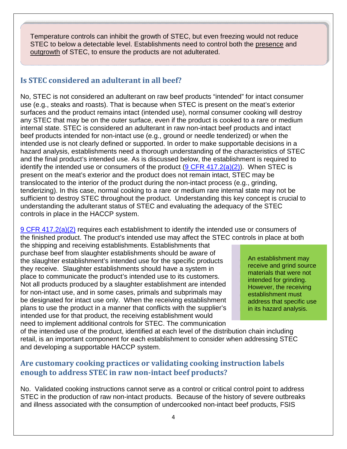Temperature controls can inhibit the growth of STEC, but even freezing would not reduce STEC to below a detectable level. Establishments need to control both the presence and outgrowth of STEC, to ensure the products are not adulterated.

# <span id="page-7-0"></span>**Is STEC considered an adulterant in all beef?**

No, STEC is not considered an adulterant on raw beef products "intended" for intact consumer use (e.g., steaks and roasts). That is because when STEC is present on the meat's exterior surfaces and the product remains intact (intended use), normal consumer cooking will destroy any STEC that may be on the outer surface, even if the product is cooked to a rare or medium internal state. STEC is considered an adulterant in raw non-intact beef products and intact beef products intended for non-intact use (e.g., ground or needle tenderized) or when the intended use is not clearly defined or supported. In order to make supportable decisions in a hazard analysis, establishments need a thorough understanding of the characteristics of STEC and the final product's intended use. As is discussed below, the establishment is required to identify the intended use or consumers of the product  $(9$  CFR  $417.2(a)(2)$ ). When STEC is present on the meat's exterior and the product does not remain intact, STEC may be translocated to the interior of the product during the non-intact process (e.g., grinding, tenderizing). In this case, normal cooking to a rare or medium rare internal state may not be sufficient to destroy STEC throughout the product. Understanding this key concept is crucial to understanding the adulterant status of STEC and evaluating the adequacy of the STEC controls in place in the HACCP system.

[9 CFR 417.2\(a\)\(2\)](http://www.ecfr.gov/cgi-bin/text-idx?SID=2e88e89d87ace90c646cde708bb9aae8&mc=true&node=se9.2.417_12&rgn=div8) requires each establishment to identify the intended use or consumers of the finished product. The product's intended use may affect the STEC controls in place at both

the shipping and receiving establishments. Establishments that purchase beef from slaughter establishments should be aware of the slaughter establishment's intended use for the specific products they receive. Slaughter establishments should have a system in place to communicate the product's intended use to its customers. Not all products produced by a slaughter establishment are intended for non-intact use, and in some cases, primals and subprimals may be designated for intact use only. When the receiving establishment plans to use the product in a manner that conflicts with the supplier's intended use for that product, the receiving establishment would need to implement additional controls for STEC. The communication

An establishment may receive and grind source materials that were not intended for grinding. However, the receiving establishment must address that specific use in its hazard analysis.

of the intended use of the product, identified at each level of the distribution chain including retail, is an important component for each establishment to consider when addressing STEC and developing a supportable HACCP system.

## <span id="page-7-1"></span>**Are customary cooking practices or validating cooking instruction labels enough to address STEC in raw non-intact beef products?**

No. Validated cooking instructions cannot serve as a control or critical control point to address STEC in the production of raw non-intact products. Because of the history of severe outbreaks and illness associated with the consumption of undercooked non-intact beef products, FSIS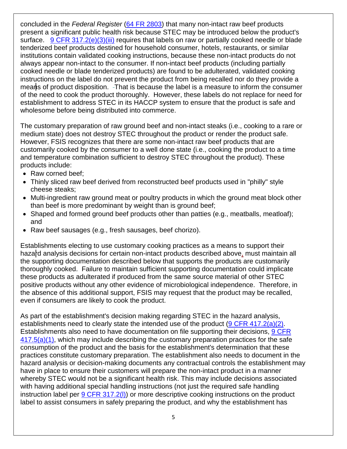concluded in the *Federal Register* [\(64 FR 2803\)](https://www.gpo.gov/fdsys/pkg/FR-1999-01-19/pdf/99-1123.pdf) that many non-intact raw beef products present a significant public health risk because STEC may be introduced below the product's surface. [9 CFR 317.2\(e\)\(3\)\(iii\)](https://www.ecfr.gov/cgi-bin/text-idx?SID=2d35c090cab8fd1faa0d9ff4aa6cbbef&mc=true&node=se9.2.317_12&rgn=div8) requires that labels on raw or partially cooked needle or blade tenderized beef products destined for household consumer, hotels, restaurants, or similar institutions contain validated cooking instructions, because these non-intact products do not always appear non-intact to the consumer. If non-intact beef products (including partially cooked needle or blade tenderized products) are found to be adulterated, validated cooking instructions on the label do not prevent the product from being recalled nor do they provide a means of product disposition. That is because the label is a measure to inform the consumer of the need to cook the product thoroughly. However, these labels do not replace for need for establishment to address STEC in its HACCP system to ensure that the product is safe and wholesome before being distributed into commerce.

The customary preparation of raw ground beef and non-intact steaks (i.e., cooking to a rare or medium state) does not destroy STEC throughout the product or render the product safe. However, FSIS recognizes that there are some non-intact raw beef products that are customarily cooked by the consumer to a well done state (i.e., cooking the product to a time and temperature combination sufficient to destroy STEC throughout the product). These products include:

- Raw corned beef:
- Thinly sliced raw beef derived from reconstructed beef products used in "philly" style cheese steaks;
- Multi-ingredient raw ground meat or poultry products in which the ground meat block other than beef is more predominant by weight than is ground beef;
- Shaped and formed ground beef products other than patties (e.g., meatballs, meatloaf); and
- Raw beef sausages (e.g., fresh sausages, beef chorizo).

Establishments electing to use customary cooking practices as a means to support their hazard analysis decisions for certain non-intact products described above, must maintain all the supporting documentation described below that supports the products are customarily thoroughly cooked. Failure to maintain sufficient supporting documentation could implicate these products as adulterated if produced from the same source material of other STEC positive products without any other evidence of microbiological independence. Therefore, in the absence of this additional support, FSIS may request that the product may be recalled, even if consumers are likely to cook the product.

As part of the establishment's decision making regarding STEC in the hazard analysis, establishments need to clearly state the intended use of the product [\(9 CFR 417.2\(a\)\(2\).](http://www.ecfr.gov/cgi-bin/text-idx?SID=2e88e89d87ace90c646cde708bb9aae8&mc=true&node=se9.2.417_12&rgn=div8) Establishments also need to have documentation on file supporting their decisions, [9 CFR](http://www.ecfr.gov/cgi-bin/retrieveECFR?gp=&SID=2bb777d871325071c090c820a9ebcc4e&mc=true&r=SECTION&n=se9.2.417_15)   $417.5(a)(1)$ , which may include describing the customary preparation practices for the safe consumption of the product and the basis for the establishment's determination that these practices constitute customary preparation. The establishment also needs to document in the hazard analysis or decision-making documents any contractual controls the establishment may have in place to ensure their customers will prepare the non-intact product in a manner whereby STEC would not be a significant health risk. This may include decisions associated with having additional special handling instructions (not just the required safe handling instruction label per 9 CFR 317.2(I)) or more descriptive cooking instructions on the product label to assist consumers in safely preparing the product, and why the establishment has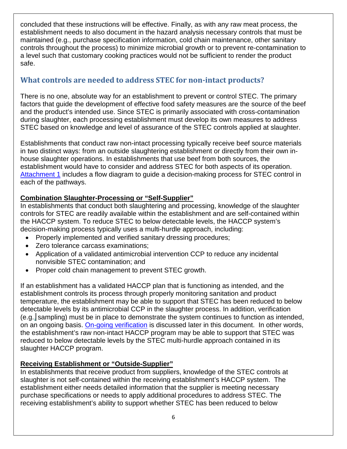concluded that these instructions will be effective. Finally, as with any raw meat process, the establishment needs to also document in the hazard analysis necessary controls that must be maintained (e.g., purchase specification information, cold chain maintenance, other sanitary controls throughout the process) to minimize microbial growth or to prevent re-contamination to a level such that customary cooking practices would not be sufficient to render the product safe.

# <span id="page-9-0"></span>**What controls are needed to address STEC for non-intact products?**

There is no one, absolute way for an establishment to prevent or control STEC. The primary factors that guide the development of effective food safety measures are the source of the beef and the product's intended use. Since STEC is primarily associated with cross-contamination during slaughter, each processing establishment must develop its own measures to address STEC based on knowledge and level of assurance of the STEC controls applied at slaughter.

Establishments that conduct raw non-intact processing typically receive beef source materials in two distinct ways: from an outside slaughtering establishment or directly from their own inhouse slaughter operations. In establishments that use beef from both sources, the establishment would have to consider and address STEC for both aspects of its operation. [Attachment 1](#page-24-0) includes a flow diagram to guide a decision-making process for STEC control in each of the pathways.

## **Combination Slaughter-Processing or "Self-Supplier"**

In establishments that conduct both slaughtering and processing, knowledge of the slaughter controls for STEC are readily available within the establishment and are self-contained within the HACCP system. To reduce STEC to below detectable levels, the HACCP system's decision-making process typically uses a multi-hurdle approach, including:

- Properly implemented and verified sanitary dressing procedures;
- Zero tolerance carcass examinations;
- Application of a validated antimicrobial intervention CCP to reduce any incidental nonvisible STEC contamination; and
- Proper cold chain management to prevent STEC growth.

If an establishment has a validated HACCP plan that is functioning as intended, and the establishment controls its process through properly monitoring sanitation and product temperature, the establishment may be able to support that STEC has been reduced to below detectable levels by its antimicrobial CCP in the slaughter process. In addition, verification (e.g., sampling) must be in place to demonstrate the system continues to function as intended, on an ongoing basis. [On-going verification](#page-12-0) is discussed later in this document. In other words, the establishment's raw non-intact HACCP program may be able to support that STEC was reduced to below detectable levels by the STEC multi-hurdle approach contained in its slaughter HACCP program.

## **Receiving Establishment or "Outside-Supplier"**

In establishments that receive product from suppliers, knowledge of the STEC controls at slaughter is not self-contained within the receiving establishment's HACCP system. The establishment either needs detailed information that the supplier is meeting necessary purchase specifications or needs to apply additional procedures to address STEC. The receiving establishment's ability to support whether STEC has been reduced to below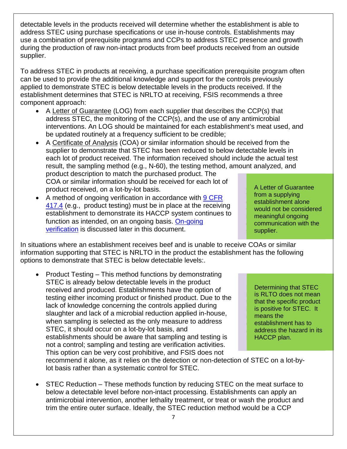detectable levels in the products received will determine whether the establishment is able to address STEC using purchase specifications or use in-house controls. Establishments may use a combination of prerequisite programs and CCPs to address STEC presence and growth during the production of raw non-intact products from beef products received from an outside supplier.

To address STEC in products at receiving, a purchase specification prerequisite program often can be used to provide the additional knowledge and support for the controls previously applied to demonstrate STEC is below detectable levels in the products received. If the establishment determines that STEC is NRLTO at receiving, FSIS recommends a three component approach:

- A Letter of Guarantee (LOG) from each supplier that describes the CCP(s) that address STEC, the monitoring of the CCP(s), and the use of any antimicrobial interventions. An LOG should be maintained for each establishment's meat used, and be updated routinely at a frequency sufficient to be credible;
- A Certificate of Analysis (COA) or similar information should be received from the supplier to demonstrate that STEC has been reduced to below detectable levels in each lot of product received. The information received should include the actual test result, the sampling method (e.g., N-60), the testing method, amount analyzed, and product description to match the purchased product. The COA or similar information should be received for each lot of product received, on a lot-by-lot basis.
- A method of ongoing verification in accordance with 9 CFR [417.4](http://www.ecfr.gov/cgi-bin/retrieveECFR?gp=&SID=2bb777d871325071c090c820a9ebcc4e&mc=true&r=SECTION&n=se9.2.417_14) (e.g., product testing) must be in place at the receiving establishment to demonstrate its HACCP system continues to function as intended, on an ongoing basis. On-going [verification](#page-12-0) is discussed later in this document.

In situations where an establishment receives beef and is unable to receive COAs or similar information supporting that STEC is NRLTO in the product the establishment has the following options to demonstrate that STEC is below detectable levels:.

• Product Testing – This method functions by demonstrating STEC is already below detectable levels in the product received and produced. Establishments have the option of testing either incoming product or finished product. Due to the lack of knowledge concerning the controls applied during slaughter and lack of a microbial reduction applied in-house, when sampling is selected as the only measure to address STEC, it should occur on a lot-by-lot basis, and establishments should be aware that sampling and testing is not a control; sampling and testing are verification activities. This option can be very cost prohibitive, and FSIS does not

Determining that STEC is RLTO does not mean that the specific product is positive for STEC. It means the establishment has to address the hazard in its HACCP plan.

recommend it alone, as it relies on the detection or non-detection of STEC on a lot-bylot basis rather than a systematic control for STEC.

• STEC Reduction – These methods function by reducing STEC on the meat surface to below a detectable level before non-intact processing. Establishments can apply an antimicrobial intervention, another lethality treatment, or treat or wash the product and trim the entire outer surface. Ideally, the STEC reduction method would be a CCP

A Letter of Guarantee from a supplying establishment alone would not be considered meaningful ongoing communication with the supplier.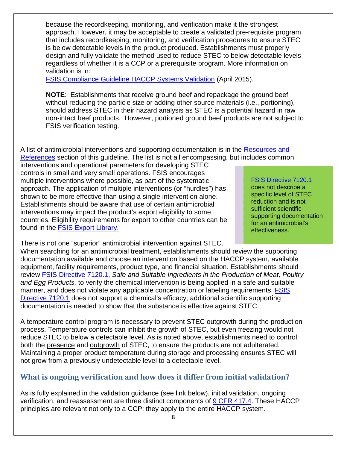because the recordkeeping, monitoring, and verification make it the strongest approach. However, it may be acceptable to create a validated pre-requisite program that includes recordkeeping, monitoring, and verification procedures to ensure STEC is below detectable levels in the product produced. Establishments must properly design and fully validate the method used to reduce STEC to below detectable levels regardless of whether it is a CCP or a prerequisite program. More information on validation is in:

[FSIS Compliance Guideline HACCP Systems Validation](http://www.fsis.usda.gov/wps/wcm/connect/a70bb780-e1ff-4a35-9a9a-3fb40c8fe584/HACCP_Systems_Validation.pdf?MOD=AJPERES) (April 2015).

**NOTE**: Establishments that receive ground beef and repackage the ground beef without reducing the particle size or adding other source materials (i.e., portioning), should address STEC in their hazard analysis as STEC is a potential hazard in raw non-intact beef products. However, portioned ground beef products are not subject to FSIS verification testing.

A list of antimicrobial interventions and supporting documentation is in the Resources and [References](#page-26-0) section of this guideline. The list is not all encompassing, but includes common

interventions and operational parameters for developing STEC controls in small and very small operations. FSIS encourages multiple interventions where possible, as part of the systematic approach. The application of multiple interventions (or "hurdles") has shown to be more effective than using a single intervention alone. Establishments should be aware that use of certain antimicrobial interventions may impact the product's export eligibility to some countries. Eligibility requirements for export to other countries can be found in the [FSIS Export Library.](https://www.fsis.usda.gov/wps/portal/fsis/topics/international-affairs/exporting-products/export-library-requirements-by-country)

#### [FSIS Directive 7120.1](http://www.fsis.usda.gov/wps/wcm/connect/bab10e09-aefa-483b-8be8-809a1f051d4c/7120.1.pdf?MOD=AJPERES)

does not describe a specific level of STEC reduction and is not sufficient scientific supporting documentation for an antimicrobial's effectiveness.

There is not one "superior" antimicrobial intervention against STEC.

When searching for an antimicrobial treatment, establishments should review the supporting documentation available and choose an intervention based on the HACCP system, available equipment, facility requirements, product type, and financial situation. Establishments should review [FSIS Directive 7120.1,](http://www.fsis.usda.gov/wps/wcm/connect/bab10e09-aefa-483b-8be8-809a1f051d4c/7120.1.pdf?MOD=AJPERES) *Safe and Suitable Ingredients in the Production of Meat, Poultry and Egg Products,* to verify the chemical intervention is being applied in a safe and suitable manner, and does not violate any applicable concentration or labeling requirements. FSIS [Directive 7120.1](http://www.fsis.usda.gov/wps/wcm/connect/bab10e09-aefa-483b-8be8-809a1f051d4c/7120.1.pdf?MOD=AJPERES) does not support a chemical's efficacy; additional scientific supporting documentation is needed to show that the substance is effective against STEC.

A temperature control program is necessary to prevent STEC outgrowth during the production process. Temperature controls can inhibit the growth of STEC, but even freezing would not reduce STEC to below a detectable level. As is noted above, establishments need to control both the presence and outgrowth of STEC, to ensure the products are not adulterated. Maintaining a proper product temperature during storage and processing ensures STEC will not grow from a previously undetectable level to a detectable level.

# <span id="page-11-0"></span>**What is ongoing verification and how does it differ from initial validation?**

As is fully explained in the validation guidance (see link below), initial validation, ongoing verification, and reassessment are three distinct components of [9 CFR 417.4.](http://www.ecfr.gov/cgi-bin/retrieveECFR?gp=&SID=2bb777d871325071c090c820a9ebcc4e&mc=true&r=SECTION&n=se9.2.417_14) These HACCP principles are relevant not only to a CCP; they apply to the entire HACCP system.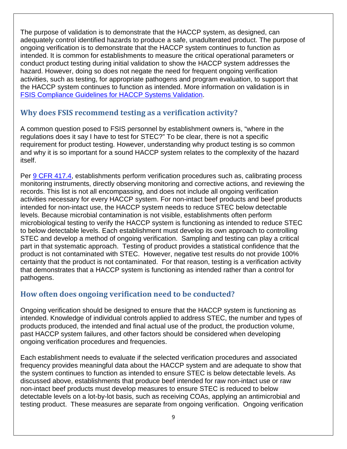The purpose of validation is to demonstrate that the HACCP system, as designed, can adequately control identified hazards to produce a safe, unadulterated product. The purpose of ongoing verification is to demonstrate that the HACCP system continues to function as intended. It is common for establishments to measure the critical operational parameters or conduct product testing during initial validation to show the HACCP system addresses the hazard. However, doing so does not negate the need for frequent ongoing verification activities, such as testing, for appropriate pathogens and program evaluation, to support that the HACCP system continues to function as intended. More information on validation is in [FSIS Compliance Guidelines for HACCP Systems Validation.](http://www.fsis.usda.gov/wps/wcm/connect/a70bb780-e1ff-4a35-9a9a-3fb40c8fe584/HACCP_Systems_Validation.pdf?MOD=AJPERES)

## <span id="page-12-0"></span>**Why does FSIS recommend testing as a verification activity?**

A common question posed to FSIS personnel by establishment owners is, "where in the regulations does it say I have to test for STEC?" To be clear, there is not a specific requirement for product testing. However, understanding why product testing is so common and why it is so important for a sound HACCP system relates to the complexity of the hazard itself.

Per [9 CFR 417.4,](http://www.ecfr.gov/cgi-bin/retrieveECFR?gp=&SID=2bb777d871325071c090c820a9ebcc4e&mc=true&r=SECTION&n=se9.2.417_14) establishments perform verification procedures such as, calibrating process monitoring instruments, directly observing monitoring and corrective actions, and reviewing the records. This list is not all encompassing, and does not include all ongoing verification activities necessary for every HACCP system. For non-intact beef products and beef products intended for non-intact use, the HACCP system needs to reduce STEC below detectable levels. Because microbial contamination is not visible, establishments often perform microbiological testing to verify the HACCP system is functioning as intended to reduce STEC to below detectable levels. Each establishment must develop its own approach to controlling STEC and develop a method of ongoing verification. Sampling and testing can play a critical part in that systematic approach. Testing of product provides a statistical confidence that the product is not contaminated with STEC. However, negative test results do not provide 100% certainty that the product is not contaminated. For that reason, testing is a verification activity that demonstrates that a HACCP system is functioning as intended rather than a control for pathogens.

## <span id="page-12-1"></span>**How often does ongoing verification need to be conducted?**

Ongoing verification should be designed to ensure that the HACCP system is functioning as intended. Knowledge of individual controls applied to address STEC, the number and types of products produced, the intended and final actual use of the product, the production volume, past HACCP system failures, and other factors should be considered when developing ongoing verification procedures and frequencies.

Each establishment needs to evaluate if the selected verification procedures and associated frequency provides meaningful data about the HACCP system and are adequate to show that the system continues to function as intended to ensure STEC is below detectable levels. As discussed above, establishments that produce beef intended for raw non-intact use or raw non-intact beef products must develop measures to ensure STEC is reduced to below detectable levels on a lot-by-lot basis, such as receiving COAs, applying an antimicrobial and testing product. These measures are separate from ongoing verification. Ongoing verification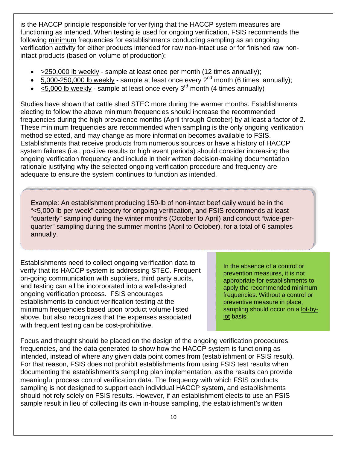is the HACCP principle responsible for verifying that the HACCP system measures are functioning as intended. When testing is used for ongoing verification, FSIS recommends the following minimum frequencies for establishments conducting sampling as an ongoing verification activity for either products intended for raw non-intact use or for finished raw nonintact products (based on volume of production):

- >250,000 lb weekly sample at least once per month (12 times annually);
- 5,000-250,000 lb weekly sample at least once every  $2^{nd}$  month (6 times annually);
- $\bullet$  < 5,000 lb weekly sample at least once every 3<sup>rd</sup> month (4 times annually)

Studies have shown that cattle shed STEC more during the warmer months. Establishments electing to follow the above minimum frequencies should increase the recommended frequencies during the high prevalence months (April through October) by at least a factor of 2. These minimum frequencies are recommended when sampling is the only ongoing verification method selected, and may change as more information becomes available to FSIS. Establishments that receive products from numerous sources or have a history of HACCP system failures (i.e., positive results or high event periods) should consider increasing the ongoing verification frequency and include in their written decision-making documentation rationale justifying why the selected ongoing verification procedure and frequency are adequate to ensure the system continues to function as intended.

Example: An establishment producing 150-lb of non-intact beef daily would be in the "<5,000-lb per week" category for ongoing verification, and FSIS recommends at least "quarterly" sampling during the winter months (October to April) and conduct "twice-perquarter" sampling during the summer months (April to October), for a total of 6 samples annually.

Establishments need to collect ongoing verification data to verify that its HACCP system is addressing STEC. Frequent on-going communication with suppliers, third party audits, and testing can all be incorporated into a well-designed ongoing verification process. FSIS encourages establishments to conduct verification testing at the minimum frequencies based upon product volume listed above, but also recognizes that the expenses associated with frequent testing can be cost-prohibitive.

In the absence of a control or prevention measures, it is not appropriate for establishments to apply the recommended minimum frequencies. Without a control or preventive measure in place, sampling should occur on a lot-bylot basis.

Focus and thought should be placed on the design of the ongoing verification procedures, frequencies, and the data generated to show how the HACCP system is functioning as intended, instead of where any given data point comes from (establishment or FSIS result). For that reason, FSIS does not prohibit establishments from using FSIS test results when documenting the establishment's sampling plan implementation, as the results can provide meaningful process control verification data. The frequency with which FSIS conducts sampling is not designed to support each individual HACCP system, and establishments should not rely solely on FSIS results. However, if an establishment elects to use an FSIS sample result in lieu of collecting its own in-house sampling, the establishment's written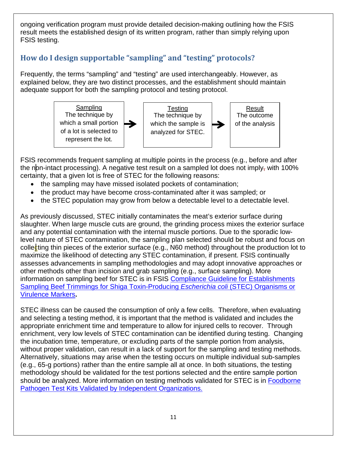ongoing verification program must provide detailed decision-making outlining how the FSIS result meets the established design of its written program, rather than simply relying upon FSIS testing.

# <span id="page-14-0"></span>**How do I design supportable "sampling" and "testing" protocols?**

Frequently, the terms "sampling" and "testing" are used interchangeably. However, as explained below, they are two distinct processes, and the establishment should maintain adequate support for both the sampling protocol and testing protocol.



FSIS recommends frequent sampling at multiple points in the process (e.g., before and after the non-intact processing). A negative test result on a sampled lot does not imply, with 100% certainty, that a given lot is free of STEC for the following reasons:

- the sampling may have missed isolated pockets of contamination;
- the product may have become cross-contaminated after it was sampled; or
- the STEC population may grow from below a detectable level to a detectable level.

As previously discussed, STEC initially contaminates the meat's exterior surface during slaughter. When large muscle cuts are ground, the grinding process mixes the exterior surface and any potential contamination with the internal muscle portions. Due to the sporadic lowlevel nature of STEC contamination, the sampling plan selected should be robust and focus on collecting thin pieces of the exterior surface (e.g., N60 method) throughout the production lot to maximize the likelihood of detecting any STEC contamination, if present. FSIS continually assesses advancements in sampling methodologies and may adopt innovative approaches or other methods other than incision and grab sampling (e.g., surface sampling). More information on sampling beef for STEC is in FSIS [Compliance Guideline for Establishments](http://www.fsis.usda.gov/wps/wcm/connect/e0f06d97-9026-4e1e-a0c2-1ac60b836fa6/Compliance-Guide-Est-Sampling-STEC.pdf?MOD=AJPERES)  [Sampling Beef Trimmings for Shiga Toxin-Producing](http://www.fsis.usda.gov/wps/wcm/connect/e0f06d97-9026-4e1e-a0c2-1ac60b836fa6/Compliance-Guide-Est-Sampling-STEC.pdf?MOD=AJPERES) *Escherichia coli* (STEC) Organisms or [Virulence Markers](http://www.fsis.usda.gov/wps/wcm/connect/e0f06d97-9026-4e1e-a0c2-1ac60b836fa6/Compliance-Guide-Est-Sampling-STEC.pdf?MOD=AJPERES)**.**

STEC illness can be caused the consumption of only a few cells. Therefore, when evaluating and selecting a testing method, it is important that the method is validated and includes the appropriate enrichment time and temperature to allow for injured cells to recover. Through enrichment, very low levels of STEC contamination can be identified during testing. Changing the incubation time, temperature, or excluding parts of the sample portion from analysis, without proper validation, can result in a lack of support for the sampling and testing methods. Alternatively, situations may arise when the testing occurs on multiple individual sub-samples (e.g., 65-g portions) rather than the entire sample all at once. In both situations, the testing methodology should be validated for the test portions selected and the entire sample portion should be analyzed. More information on testing methods validated for STEC is in [Foodborne](http://www.fsis.usda.gov/wps/wcm/connect/909c8279-6865-424d-ab7a-e1f165646c63/Validated-Test-Kit-Spreadsheet.xls?MOD=AJPERES)  [Pathogen Test Kits Validated by Independent Organizations.](http://www.fsis.usda.gov/wps/wcm/connect/909c8279-6865-424d-ab7a-e1f165646c63/Validated-Test-Kit-Spreadsheet.xls?MOD=AJPERES)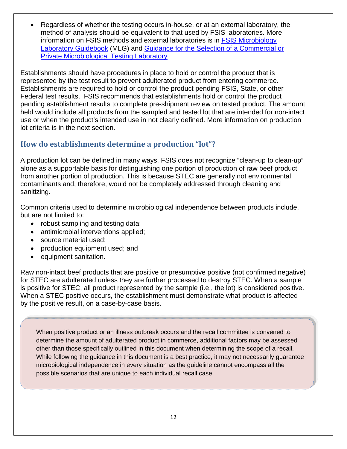• Regardless of whether the testing occurs in-house, or at an external laboratory, the method of analysis should be equivalent to that used by FSIS laboratories. More information on FSIS methods and external laboratories is in [FSIS Microbiology](http://www.fsis.usda.gov/wps/portal/fsis/topics/science/laboratories-and-procedures/guidebooks-and-methods/microbiology-laboratory-guidebook/microbiology-laboratory-guidebook)  [Laboratory Guidebook](http://www.fsis.usda.gov/wps/portal/fsis/topics/science/laboratories-and-procedures/guidebooks-and-methods/microbiology-laboratory-guidebook/microbiology-laboratory-guidebook) (MLG) and [Guidance for the Selection of a Commercial or](http://www.fsis.usda.gov/wps/wcm/connect/464a4827-0c9a-4268-8651-b417bb6bba51/Guidance-Selection-Commercial-Private-Microbiological-Testing-lab-062013.pdf?MOD=AJPERES)  [Private Microbiological Testing Laboratory](http://www.fsis.usda.gov/wps/wcm/connect/464a4827-0c9a-4268-8651-b417bb6bba51/Guidance-Selection-Commercial-Private-Microbiological-Testing-lab-062013.pdf?MOD=AJPERES)

Establishments should have procedures in place to hold or control the product that is represented by the test result to prevent adulterated product from entering commerce. Establishments are required to hold or control the product pending FSIS, State, or other Federal test results. FSIS recommends that establishments hold or control the product pending establishment results to complete pre-shipment review on tested product. The amount held would include all products from the sampled and tested lot that are intended for non-intact use or when the product's intended use in not clearly defined. More information on production lot criteria is in the next section.

## <span id="page-15-0"></span>**How do establishments determine a production "lot"?**

A production lot can be defined in many ways. FSIS does not recognize "clean-up to clean-up" alone as a supportable basis for distinguishing one portion of production of raw beef product from another portion of production. This is because STEC are generally not environmental contaminants and, therefore, would not be completely addressed through cleaning and sanitizing.

Common criteria used to determine microbiological independence between products include, but are not limited to:

- robust sampling and testing data;
- antimicrobial interventions applied;
- source material used;
- production equipment used; and
- equipment sanitation.

Raw non-intact beef products that are positive or presumptive positive (not confirmed negative) for STEC are adulterated unless they are further processed to destroy STEC. When a sample is positive for STEC, all product represented by the sample (i.e., the lot) is considered positive. When a STEC positive occurs, the establishment must demonstrate what product is affected by the positive result, on a case-by-case basis.

When positive product or an illness outbreak occurs and the recall committee is convened to determine the amount of adulterated product in commerce, additional factors may be assessed other than those specifically outlined in this document when determining the scope of a recall. While following the guidance in this document is a best practice, it may not necessarily guarantee microbiological independence in every situation as the guideline cannot encompass all the possible scenarios that are unique to each individual recall case.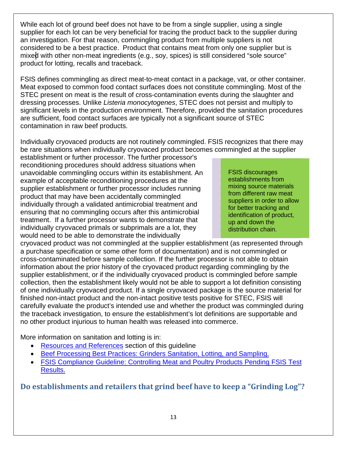While each lot of ground beef does not have to be from a single supplier, using a single supplier for each lot can be very beneficial for tracing the product back to the supplier during an investigation. For that reason, commingling product from multiple suppliers is not considered to be a best practice. Product that contains meat from only one supplier but is mixed with other non-meat ingredients (e.g., soy, spices) is still considered "sole source" product for lotting, recalls and traceback.

FSIS defines commingling as direct meat-to-meat contact in a package, vat, or other container. Meat exposed to common food contact surfaces does not constitute commingling. Most of the STEC present on meat is the result of cross-contamination events during the slaughter and dressing processes. Unlike *Listeria monocytogenes*, STEC does not persist and multiply to significant levels in the production environment. Therefore, provided the sanitation procedures are sufficient, food contact surfaces are typically not a significant source of STEC contamination in raw beef products.

Individually cryovaced products are not routinely commingled. FSIS recognizes that there may be rare situations when individually cryovaced product becomes commingled at the supplier

establishment or further processor. The further processor's reconditioning procedures should address situations when unavoidable commingling occurs within its establishment. An example of acceptable reconditioning procedures at the supplier establishment or further processor includes running product that may have been accidentally commingled individually through a validated antimicrobial treatment and ensuring that no commingling occurs after this antimicrobial treatment. If a further processor wants to demonstrate that individually cryovaced primals or subprimals are a lot, they would need to be able to demonstrate the individually

FSIS discourages establishments from mixing source materials from different raw meat suppliers in order to allow for better tracking and identification of product, up and down the distribution chain.

cryovaced product was not commingled at the supplier establishment (as represented through a purchase specification or some other form of documentation) and is not commingled or cross-contaminated before sample collection. If the further processor is not able to obtain information about the prior history of the cryovaced product regarding commingling by the supplier establishment, or if the individually cryovaced product is commingled before sample collection, then the establishment likely would not be able to support a lot definition consisting of one individually cryovaced product. If a single cryovaced package is the source material for finished non-intact product and the non-intact positive tests positive for STEC, FSIS will carefully evaluate the product's intended use and whether the product was commingled during the traceback investigation, to ensure the establishment's lot definitions are supportable and no other product injurious to human health was released into commerce.

More information on sanitation and lotting is in:

- [Resources and References](#page-26-0) section of this guideline
- [Beef Processing Best Practices: Grinders Sanitation, Lotting, and Sampling.](#page-29-0)
- [FSIS Compliance Guideline: Controlling Meat and Poultry Products Pending FSIS Test](https://www.fsis.usda.gov/wps/wcm/connect/6b7b5a65-9ad3-4f89-927d-078e564aca24/Compliance_Guide_Test_Hold_020113.pdf?MOD=AJPERES) [Results.](https://www.fsis.usda.gov/wps/wcm/connect/6b7b5a65-9ad3-4f89-927d-078e564aca24/Compliance_Guide_Test_Hold_020113.pdf?MOD=AJPERES)

<span id="page-16-0"></span>**Do establishments and retailers that grind beef have to keep a "Grinding Log"?**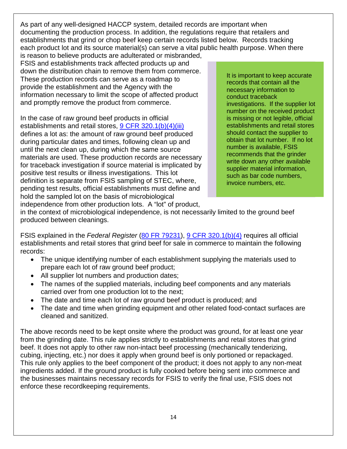As part of any well-designed HACCP system, detailed records are important when documenting the production process. In addition, the regulations require that retailers and establishments that grind or chop beef keep certain records listed below. Records tracking each product lot and its source material(s) can serve a vital public health purpose. When there

is reason to believe products are adulterated or misbranded, FSIS and establishments track affected products up and down the distribution chain to remove them from commerce. These production records can serve as a roadmap to provide the establishment and the Agency with the information necessary to limit the scope of affected product and promptly remove the product from commerce.

In the case of raw ground beef products in official establishments and retail stores, [9 CFR 320.1\(b\)\(4\)\(iii\)](http://www.ecfr.gov/cgi-bin/text-idx?SID=31646de44502e2ee8e01035df04cd100&mc=true&node=se9.2.320_11&rgn=div8) defines a lot as: the amount of raw ground beef produced during particular dates and times, following clean up and until the next clean up, during which the same source materials are used. These production records are necessary for traceback investigation if source material is implicated by positive test results or illness investigations. This lot definition is separate from FSIS sampling of STEC, where, pending test results, official establishments must define and hold the sampled lot on the basis of microbiological independence from other production lots. A "lot" of product,

It is important to keep accurate records that contain all the necessary information to conduct traceback investigations. If the supplier lot number on the received product is missing or not legible, official establishments and retail stores should contact the supplier to obtain that lot number. If no lot number is available, FSIS recommends that the grinder write down any other available supplier material information, such as bar code numbers, invoice numbers, etc.

in the context of microbiological independence, is not necessarily limited to the ground beef produced between cleanings.

FSIS explained in the *Federal Register* [\(80 FR 79231\)](http://www.fsis.usda.gov/wps/wcm/connect/6bb824d5-70ce-4c1d-8801-b18346fa595c/2009-0011F.pdf?MOD=AJPERES), [9 CFR 320.1\(b\)\(4\)](http://www.ecfr.gov/cgi-bin/text-idx?SID=31646de44502e2ee8e01035df04cd100&mc=true&node=se9.2.320_11&rgn=div8) requires all official establishments and retail stores that grind beef for sale in commerce to maintain the following records:

- The unique identifying number of each establishment supplying the materials used to prepare each lot of raw ground beef product;
- All supplier lot numbers and production dates;
- The names of the supplied materials, including beef components and any materials carried over from one production lot to the next;
- The date and time each lot of raw ground beef product is produced; and
- The date and time when grinding equipment and other related food-contact surfaces are cleaned and sanitized.

The above records need to be kept onsite where the product was ground, for at least one year from the grinding date. This rule applies strictly to establishments and retail stores that grind beef. It does not apply to other raw non-intact beef processing (mechanically tenderizing, cubing, injecting, etc.) nor does it apply when ground beef is only portioned or repackaged. This rule only applies to the beef component of the product; it does not apply to any non-meat ingredients added. If the ground product is fully cooked before being sent into commerce and the businesses maintains necessary records for FSIS to verify the final use, FSIS does not enforce these recordkeeping requirements.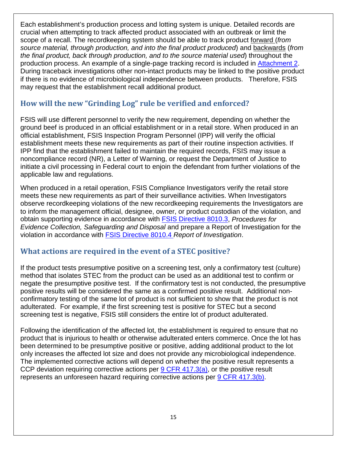Each establishment's production process and lotting system is unique. Detailed records are crucial when attempting to track affected product associated with an outbreak or limit the scope of a recall. The recordkeeping system should be able to track product forward (*from source material, through production, and into the final product produced*) and backwards (*from the final product, back through production, and to the source material used*) throughout the production process. An example of a single-page tracking record is included in [Attachment 2.](#page-25-0) During traceback investigations other non-intact products may be linked to the positive product if there is no evidence of microbiological independence between products. Therefore, FSIS may request that the establishment recall additional product.

# <span id="page-18-0"></span>**How will the new "Grinding Log" rule be verified and enforced?**

FSIS will use different personnel to verify the new requirement, depending on whether the ground beef is produced in an official establishment or in a retail store. When produced in an official establishment, FSIS Inspection Program Personnel (IPP) will verify the official establishment meets these new requirements as part of their routine inspection activities. If IPP find that the establishment failed to maintain the required records, FSIS may issue a noncompliance record (NR), a Letter of Warning, or request the Department of Justice to initiate a civil processing in Federal court to enjoin the defendant from further violations of the applicable law and regulations.

When produced in a retail operation, FSIS Compliance Investigators verify the retail store meets these new requirements as part of their surveillance activities. When Investigators observe recordkeeping violations of the new recordkeeping requirements the Investigators are to inform the management official, designee, owner, or product custodian of the violation, and obtain supporting evidence in accordance with [FSIS Directive](https://www.fsis.usda.gov/wps/wcm/connect/cb9755cc-155b-4da5-a06c-6092dedf3907/8010.3.pdf?MOD=AJPERES) 8010.3, *Procedures for Evidence Collection, Safeguarding and Disposal* and prepare a Report of Investigation for the violation in accordance with [FSIS Directive 8010.4](https://www.fsis.usda.gov/wps/wcm/connect/c71ae1b1-2d4f-4c62-925f-f63aa6b36800/8010.4.pdf?MOD=AJPERES) *Report of Investigation*.

## <span id="page-18-1"></span>**What actions are required in the event of a STEC positive?**

If the product tests presumptive positive on a screening test, only a confirmatory test (culture) method that isolates STEC from the product can be used as an additional test to confirm or negate the presumptive positive test. If the confirmatory test is not conducted, the presumptive positive results will be considered the same as a confirmed positive result. Additional nonconfirmatory testing of the same lot of product is not sufficient to show that the product is not adulterated. For example, if the first screening test is positive for STEC but a second screening test is negative, FSIS still considers the entire lot of product adulterated.

Following the identification of the affected lot, the establishment is required to ensure that no product that is injurious to health or otherwise adulterated enters commerce. Once the lot has been determined to be presumptive positive or positive, adding additional product to the lot only increases the affected lot size and does not provide any microbiological independence. The implemented corrective actions will depend on whether the positive result represents a CCP deviation requiring corrective actions per [9 CFR 417.3\(a\),](http://www.ecfr.gov/cgi-bin/text-idx?SID=2bb777d871325071c090c820a9ebcc4e&mc=true&node=se9.2.417_13&rgn=div8) or the positive result represents an unforeseen hazard requiring corrective actions per [9 CFR 417.3\(b\).](http://www.ecfr.gov/cgi-bin/text-idx?SID=2bb777d871325071c090c820a9ebcc4e&mc=true&node=se9.2.417_13&rgn=div8)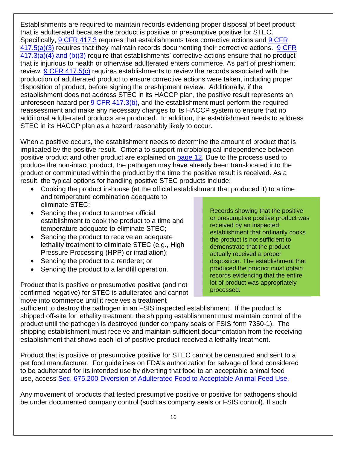Establishments are required to maintain records evidencing proper disposal of beef product that is adulterated because the product is positive or presumptive positive for STEC. Specifically, [9 CFR 417.3](http://www.ecfr.gov/cgi-bin/text-idx?SID=2bb777d871325071c090c820a9ebcc4e&mc=true&node=se9.2.417_13&rgn=div8) requires that establishments take corrective actions and 9 CFR  $417.5(a)(3)$  requires that they maintain records documenting their corrective actions. 9 CFR [417.3\(a\)\(4\) and \(b\)\(3\)](http://www.ecfr.gov/cgi-bin/text-idx?SID=2bb777d871325071c090c820a9ebcc4e&mc=true&node=se9.2.417_13&rgn=div8) require that establishments' corrective actions ensure that no product that is injurious to health or otherwise adulterated enters commerce. As part of preshipment review, [9 CFR 417.5\(c\)](http://www.ecfr.gov/cgi-bin/text-idx?SID=2bb777d871325071c090c820a9ebcc4e&mc=true&node=se9.2.417_15&rgn=div8) requires establishments to review the records associated with the production of adulterated product to ensure corrective actions were taken, including proper disposition of product, before signing the preshipment review. Additionally, if the establishment does not address STEC in its HACCP plan, the positive result represents an unforeseen hazard per [9 CFR 417.3\(b\),](http://www.ecfr.gov/cgi-bin/text-idx?SID=2bb777d871325071c090c820a9ebcc4e&mc=true&node=se9.2.417_13&rgn=div8) and the establishment must perform the required reassessment and make any necessary changes to its HACCP system to ensure that no additional adulterated products are produced. In addition, the establishment needs to address STEC in its HACCP plan as a hazard reasonably likely to occur.

When a positive occurs, the establishment needs to determine the amount of product that is implicated by the positive result. Criteria to support microbiological independence between positive product and other product are explained on [page 12.](#page-15-0) Due to the process used to produce the non-intact product, the pathogen may have already been translocated into the product or comminuted within the product by the time the positive result is received. As a result, the typical options for handling positive STEC products include:

- Cooking the product in-house (at the official establishment that produced it) to a time and temperature combination adequate to eliminate STEC;
- Sending the product to another official establishment to cook the product to a time and temperature adequate to eliminate STEC;
- Sending the product to receive an adequate lethality treatment to eliminate STEC (e.g., High Pressure Processing (HPP) or irradiation);
- Sending the product to a renderer; or
- Sending the product to a landfill operation.

Product that is positive or presumptive positive (and not confirmed negative) for STEC is adulterated and cannot move into commerce until it receives a treatment

Records showing that the positive or presumptive positive product was received by an inspected establishment that ordinarily cooks the product is not sufficient to demonstrate that the product actually received a proper disposition. The establishment that produced the product must obtain records evidencing that the entire lot of product was appropriately processed.

sufficient to destroy the pathogen in an FSIS inspected establishment. If the product is shipped off-site for lethality treatment, the shipping establishment must maintain control of the product until the pathogen is destroyed (under company seals or FSIS form 7350-1). The shipping establishment must receive and maintain sufficient documentation from the receiving establishment that shows each lot of positive product received a lethality treatment.

Product that is positive or presumptive positive for STEC cannot be denatured and sent to a pet food manufacturer. For guidelines on FDA's authorization for salvage of food considered to be adulterated for its intended use by diverting that food to an acceptable animal feed use, access [Sec. 675.200 Diversion of Adulterated Food to Acceptable Animal Feed Use.](http://www.fda.gov/ICECI/ComplianceManuals/CompliancePolicyGuidanceManual/ucm074694.htm)

Any movement of products that tested presumptive positive or positive for pathogens should be under documented company control (such as company seals or FSIS control). If such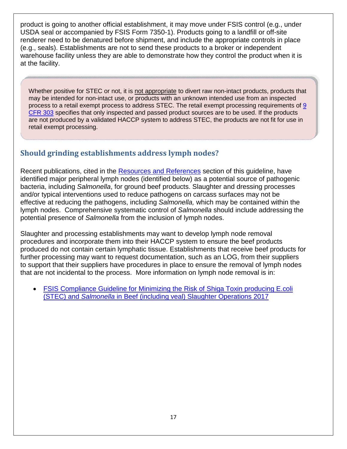product is going to another official establishment, it may move under FSIS control (e.g., under USDA seal or accompanied by FSIS Form 7350-1). Products going to a landfill or off-site renderer need to be denatured before shipment, and include the appropriate controls in place (e.g., seals). Establishments are not to send these products to a broker or independent warehouse facility unless they are able to demonstrate how they control the product when it is at the facility.

Whether positive for STEC or not, it is not appropriate to divert raw non-intact products, products that may be intended for non-intact use, or products with an unknown intended use from an inspected process to a retail exempt process to address STEC. The retail exempt processing requirements of [9](https://www.gpo.gov/fdsys/pkg/CFR-2017-title9-vol2/pdf/CFR-2017-title9-vol2-part303.pdf)  [CFR 303](https://www.gpo.gov/fdsys/pkg/CFR-2017-title9-vol2/pdf/CFR-2017-title9-vol2-part303.pdf) specifies that only inspected and passed product sources are to be used. If the products are not produced by a validated HACCP system to address STEC, the products are not fit for use in retail exempt processing.

# <span id="page-20-0"></span>**Should grinding establishments address lymph nodes?**

Recent publications, cited in the [Resources and References](#page-26-0) section of this guideline, have identified major peripheral lymph nodes (identified below) as a potential source of pathogenic bacteria, including *Salmonella*, for ground beef products. Slaughter and dressing processes and/or typical interventions used to reduce pathogens on carcass surfaces may not be effective at reducing the pathogens, including *Salmonella,* which may be contained within the lymph nodes. Comprehensive systematic control of *Salmonella* should include addressing the potential presence of *Salmonella* from the inclusion of lymph nodes.

Slaughter and processing establishments may want to develop lymph node removal procedures and incorporate them into their HACCP system to ensure the beef products produced do not contain certain lymphatic tissue. Establishments that receive beef products for further processing may want to request documentation, such as an LOG, from their suppliers to support that their suppliers have procedures in place to ensure the removal of lymph nodes that are not incidental to the process. More information on lymph node removal is in:

• [FSIS Compliance Guideline for Minimizing the Risk of Shiga Toxin producing E.coli](https://www.fsis.usda.gov/wps/wcm/connect/1c7b15f7-2815-41d4-9897-2b0502d98429/Compliance-Guideline-STEC-Salmonella-Beef-Slaughter.pdf?MOD=AJPERES)  (STEC) and *Salmonella* [in Beef \(including veal\) Slaughter Operations 2017](https://www.fsis.usda.gov/wps/wcm/connect/1c7b15f7-2815-41d4-9897-2b0502d98429/Compliance-Guideline-STEC-Salmonella-Beef-Slaughter.pdf?MOD=AJPERES)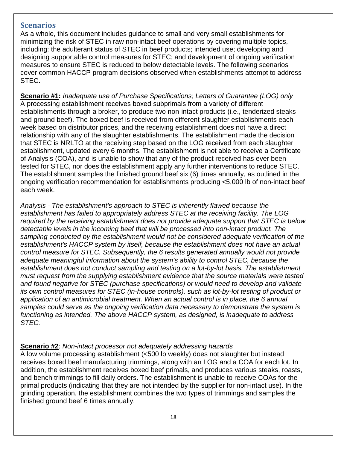### <span id="page-21-0"></span>**Scenarios**

As a whole, this document includes guidance to small and very small establishments for minimizing the risk of STEC in raw non-intact beef operations by covering multiple topics, including: the adulterant status of STEC in beef products; intended use; developing and designing supportable control measures for STEC; and development of ongoing verification measures to ensure STEC is reduced to below detectable levels. The following scenarios cover common HACCP program decisions observed when establishments attempt to address STEC.

**Scenario #1:** *Inadequate use of Purchase Specifications; Letters of Guarantee (LOG) only* A processing establishment receives boxed subprimals from a variety of different establishments through a broker, to produce two non-intact products (i.e., tenderized steaks and ground beef). The boxed beef is received from different slaughter establishments each week based on distributor prices, and the receiving establishment does not have a direct relationship with any of the slaughter establishments. The establishment made the decision that STEC is NRLTO at the receiving step based on the LOG received from each slaughter establishment, updated every 6 months. The establishment is not able to receive a Certificate of Analysis (COA), and is unable to show that any of the product received has ever been tested for STEC, nor does the establishment apply any further interventions to reduce STEC. The establishment samples the finished ground beef six (6) times annually, as outlined in the ongoing verification recommendation for establishments producing <5,000 lb of non-intact beef each week.

*Analysis - The establishment's approach to STEC is inherently flawed because the establishment has failed to appropriately address STEC at the receiving facility. The LOG required by the receiving establishment does not provide adequate support that STEC is below detectable levels in the incoming beef that will be processed into non-intact product. The sampling conducted by the establishment would not be considered adequate verification of the establishment's HACCP system by itself, because the establishment does not have an actual control measure for STEC. Subsequently, the 6 results generated annually would not provide adequate meaningful information about the system's ability to control STEC, because the establishment does not conduct sampling and testing on a lot-by-lot basis. The establishment must request from the supplying establishment evidence that the source materials were tested and found negative for STEC (purchase specifications) or would need to develop and validate its own control measures for STEC (in-house controls), such as lot-by-lot testing of product or application of an antimicrobial treatment. When an actual control is in place, the 6 annual samples could serve as the ongoing verification data necessary to demonstrate the system is functioning as intended. The above HACCP system, as designed, is inadequate to address STEC.*

#### **Scenario #2**: *Non-intact processor not adequately addressing hazards*

A low volume processing establishment (<500 lb weekly) does not slaughter but instead receives boxed beef manufacturing trimmings, along with an LOG and a COA for each lot. In addition, the establishment receives boxed beef primals, and produces various steaks, roasts, and bench trimmings to fill daily orders. The establishment is unable to receive COAs for the primal products (indicating that they are not intended by the supplier for non-intact use). In the grinding operation, the establishment combines the two types of trimmings and samples the finished ground beef 6 times annually.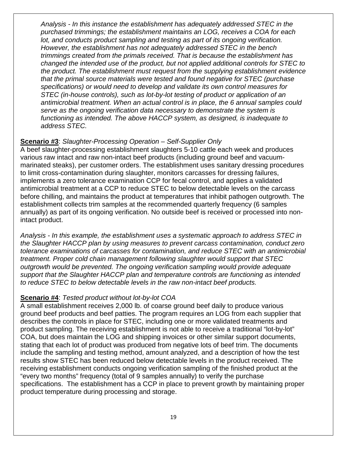*Analysis - In this instance the establishment has adequately addressed STEC in the purchased trimmings; the establishment maintains an LOG, receives a COA for each lot, and conducts product sampling and testing as part of its ongoing verification. However, the establishment has not adequately addressed STEC in the bench trimmings created from the primals received. That is because the establishment has changed the intended use of the product, but not applied additional controls for STEC to the product. The establishment must request from the supplying establishment evidence that the primal source materials were tested and found negative for STEC (purchase specifications) or would need to develop and validate its own control measures for STEC (in-house controls), such as lot-by-lot testing of product or application of an antimicrobial treatment. When an actual control is in place, the 6 annual samples could serve as the ongoing verification data necessary to demonstrate the system is functioning as intended. The above HACCP system, as designed, is inadequate to address STEC.*

#### **Scenario #3**: *Slaughter-Processing Operation – Self-Supplier Only*

A beef slaughter-processing establishment slaughters 5-10 cattle each week and produces various raw intact and raw non-intact beef products (including ground beef and vacuummarinated steaks), per customer orders. The establishment uses sanitary dressing procedures to limit cross-contamination during slaughter, monitors carcasses for dressing failures, implements a zero tolerance examination CCP for fecal control, and applies a validated antimicrobial treatment at a CCP to reduce STEC to below detectable levels on the carcass before chilling, and maintains the product at temperatures that inhibit pathogen outgrowth. The establishment collects trim samples at the recommended quarterly frequency (6 samples annually) as part of its ongoing verification. No outside beef is received or processed into nonintact product.

*Analysis - In this example, the establishment uses a systematic approach to address STEC in the Slaughter HACCP plan by using measures to prevent carcass contamination, conduct zero tolerance examinations of carcasses for contamination, and reduce STEC with an antimicrobial treatment. Proper cold chain management following slaughter would support that STEC outgrowth would be prevented. The ongoing verification sampling would provide adequate support that the Slaughter HACCP plan and temperature controls are functioning as intended to reduce STEC to below detectable levels in the raw non-intact beef products.*

#### **Scenario #4**: *Tested product without lot-by-lot COA*

A small establishment receives 2,000 lb. of coarse ground beef daily to produce various ground beef products and beef patties. The program requires an LOG from each supplier that describes the controls in place for STEC, including one or more validated treatments and product sampling. The receiving establishment is not able to receive a traditional "lot-by-lot" COA, but does maintain the LOG and shipping invoices or other similar support documents, stating that each lot of product was produced from negative lots of beef trim. The documents include the sampling and testing method, amount analyzed, and a description of how the test results show STEC has been reduced below detectable levels in the product received. The receiving establishment conducts ongoing verification sampling of the finished product at the "every two months" frequency (total of 9 samples annually) to verify the purchase specifications. The establishment has a CCP in place to prevent growth by maintaining proper product temperature during processing and storage.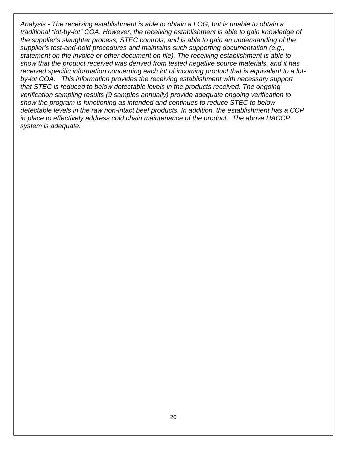*Analysis - The receiving establishment is able to obtain a LOG, but is unable to obtain a traditional "lot-by-lot" COA. However, the receiving establishment is able to gain knowledge of the supplier's slaughter process, STEC controls, and is able to gain an understanding of the supplier's test-and-hold procedures and maintains such supporting documentation (e.g., statement on the invoice or other document on file). The receiving establishment is able to show that the product received was derived from tested negative source materials, and it has received specific information concerning each lot of incoming product that is equivalent to a lotby-lot COA. This information provides the receiving establishment with necessary support that STEC is reduced to below detectable levels in the products received. The ongoing verification sampling results (9 samples annually) provide adequate ongoing verification to show the program is functioning as intended and continues to reduce STEC to below detectable levels in the raw non-intact beef products. In addition, the establishment has a CCP in place to effectively address cold chain maintenance of the product. The above HACCP system is adequate.*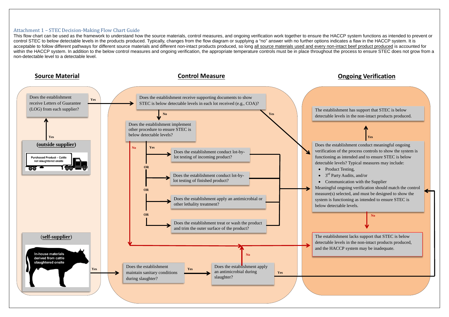#### <span id="page-24-0"></span>Attachment 1 – STEC Decision-Making Flow Chart Guide

This flow chart can be used as the framework to understand how the source materials, control measures, and ongoing verification work together to ensure the HACCP system functions as intended to prevent or control STEC to below detectable levels in the products produced. Typically, changes from the flow diagram or supplying a "no" answer with no further options indicates a flaw in the HACCP system. It is acceptable to follow different pathways for different source materials and different non-intact products produced, so long all source materials used and every non-intact beef product produced is accounted for within the HACCP system. In addition to the below control measures and ongoing verification, the appropriate temperature controls must be in place throughout the process to ensure STEC does not grow from a non-detectable level to a detectable level.

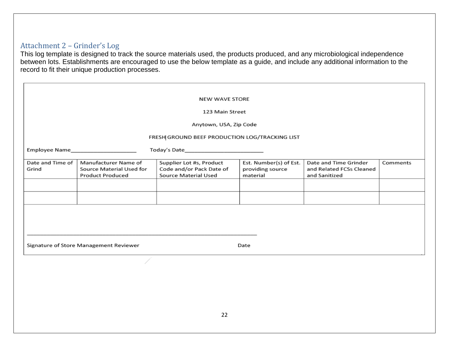## Attachment 2 – Grinder's Log

This log template is designed to track the source materials used, the products produced, and any microbiological independence between lots. Establishments are encouraged to use the below template as a guide, and include any additional information to the record to fit their unique production processes.

<span id="page-25-0"></span>

| <b>NEW WAVE STORE</b>                          |                                                                             |                                                                              |                                                        |                                                                    |          |  |  |
|------------------------------------------------|-----------------------------------------------------------------------------|------------------------------------------------------------------------------|--------------------------------------------------------|--------------------------------------------------------------------|----------|--|--|
| 123 Main Street                                |                                                                             |                                                                              |                                                        |                                                                    |          |  |  |
| Anytown, USA, Zip Code                         |                                                                             |                                                                              |                                                        |                                                                    |          |  |  |
| FRESH GROUND BEEF PRODUCTION LOG/TRACKING LIST |                                                                             |                                                                              |                                                        |                                                                    |          |  |  |
|                                                |                                                                             |                                                                              |                                                        |                                                                    |          |  |  |
| Date and Time of<br>Grind                      | Manufacturer Name of<br>Source Material Used for<br><b>Product Produced</b> | Supplier Lot #s, Product<br>Code and/or Pack Date of<br>Source Material Used | Est. Number(s) of Est.<br>providing source<br>material | Date and Time Grinder<br>and Related FCSs Cleaned<br>and Sanitized | Comments |  |  |
|                                                |                                                                             |                                                                              |                                                        |                                                                    |          |  |  |
|                                                |                                                                             |                                                                              |                                                        |                                                                    |          |  |  |
|                                                |                                                                             |                                                                              |                                                        |                                                                    |          |  |  |
|                                                |                                                                             |                                                                              |                                                        |                                                                    |          |  |  |
|                                                |                                                                             |                                                                              |                                                        |                                                                    |          |  |  |
| Signature of Store Management Reviewer<br>Date |                                                                             |                                                                              |                                                        |                                                                    |          |  |  |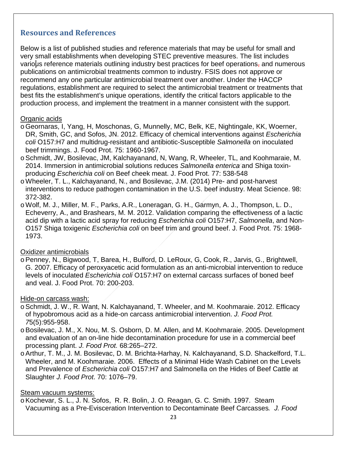## <span id="page-26-0"></span>**Resources and References**

Below is a list of published studies and reference materials that may be useful for small and very small establishments when developing STEC preventive measures. The list includes various reference materials outlining industry best practices for beef operations, and numerous publications on antimicrobial treatments common to industry. FSIS does not approve or recommend any one particular antimicrobial treatment over another. Under the HACCP regulations, establishment are required to select the antimicrobial treatment or treatments that best fits the establishment's unique operations, identify the critical factors applicable to the production process, and implement the treatment in a manner consistent with the support.

#### Organic acids

- oGeornaras, I, Yang, H, Moschonas, G, Munnelly, MC, Belk, KE, Nightingale, KK, Woerner, DR, Smith, GC, and Sofos, JN. 2012. Efficacy of chemical interventions against *Escherichia coli* O157:H7 and multidrug-resistant and antibiotic-Susceptible *Salmonella* on inoculated beef trimmings. J. Food Prot. 75: 1960-1967.
- oSchmidt, JW, Bosilevac, JM, Kalchayanand, N, Wang, R, Wheeler, TL, and Koohmaraie, M. 2014. Immersion in antimicrobial solutions reduces *Salmonella enterica* and Shiga toxinproducing *Escherichia coli* on Beef cheek meat. J. Food Prot. 77: 538-548
- oWheeler, T. L., Kalchayanand, N., and Bosilevac, J.M. (2014) Pre- and post-harvest interventions to reduce pathogen contamination in the U.S. beef industry. Meat Science. 98: 372-382.
- oWolf, M. J., Miller, M. F., Parks, A.R., Loneragan, G. H., Garmyn, A. J., Thompson, L. D., Echeverry, A., and Brashears, M. M. 2012. Validation comparing the effectiveness of a lactic acid dip with a lactic acid spray for reducing *Escherichia coli* O157:H7, *Salmonella*, and Non-O157 Shiga toxigenic *Escherichia coli* on beef trim and ground beef. J. Food Prot. 75: 1968- 1973.

#### Oxidizer antimicrobials

oPenney, N., Bigwood, T, Barea, H., Bulford, D. LeRoux, G, Cook, R., Jarvis, G., Brightwell, G. 2007. Efficacy of peroxyacetic acid formulation as an anti-microbial intervention to reduce levels of inoculated *Escherichia coli* O157:H7 on external carcass surfaces of boned beef and veal. J. Food Prot. 70: 200-203.

#### Hide-on carcass wash:

- o Schmidt, J. W., R. Want, N. Kalchayanand, T. Wheeler, and M. Koohmaraie. 2012. Efficacy of hypobromous acid as a hide-on carcass antimicrobial intervention. *J. Food Prot. 7*5(5):955-958.
- oBosilevac, J. M., X. Nou, M. S. Osborn, D. M. Allen, and M. Koohmaraie. 2005. Development and evaluation of an on-line hide decontamination procedure for use in a commercial beef processing plant. *J. Food Prot.* 68:265–272.
- oArthur, T. M., J. M. Bosilevac, D. M. Brichta-Harhay, N. Kalchayanand, S.D. Shackelford, T.L. Wheeler, and M. Koohmaraie. 2006. Effects of a Minimal Hide Wash Cabinet on the Levels and Prevalence of *Escherichia coli* O157:H7 and Salmonella on the Hides of Beef Cattle at Slaughter *J. Food Prot*. 70: 1076–79.

#### Steam vacuum systems:

oKochevar, S. L., J. N. Sofos, R. R. Bolin, J. O. Reagan, G. C. Smith. 1997. Steam Vacuuming as a Pre-Evisceration Intervention to Decontaminate Beef Carcasses*. J. Food*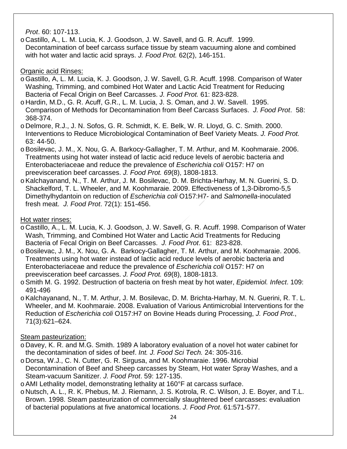*Prot*. 60: 107-113.

o Castillo, A., L. M. Lucia, K. J. Goodson, J. W. Savell, and G. R. Acuff. 1999. Decontamination of beef carcass surface tissue by steam vacuuming alone and combined with hot water and lactic acid sprays. *J. Food Prot.* 62(2), 146-151.

### Organic acid Rinses:

- oGastillo, A, L. M. Lucia, K. J. Goodson, J. W. Savell, G.R. Acuff. 1998. Comparison of Water Washing, Trimming, and combined Hot Water and Lactic Acid Treatment for Reducing Bacteria of Fecal Origin on Beef Carcasses. *J. Food Prot.* 61: 823-828.
- o Hardin, M.D., G. R. Acuff, G.R., L. M. Lucia, J. S. Oman, and J. W. Savell. 1995. Comparison of Methods for Decontamination from Beef Carcass Surfaces. *J. Food Prot*. 58: 368-374.
- o Delmore, R.J., J. N. Sofos, G. R. Schmidt, K. E. Belk, W. R. Lloyd, G. C. Smith. 2000. Interventions to Reduce Microbiological Contamination of Beef Variety Meats. *J. Food Prot.* 63: 44-50.
- oBosilevac, J. M., X. Nou, G. A. Barkocy-Gallagher, T. M. Arthur, and M. Koohmaraie. 2006. Treatments using hot water instead of lactic acid reduce levels of aerobic bacteria and Enterobacteriaceae and reduce the prevalence of *Escherichia coli* O157: H7 on preevisceration beef carcasses. *J. Food Prot. 69*(8), 1808-1813.
- oKalchayanand, N., T. M. Arthur, J. M. Bosilevac, D. M. Brichta-Harhay, M. N. Guerini, S. D. Shackelford, T. L. Wheeler, and M. Koohmaraie. 2009. Effectiveness of 1,3-Dibromo-5,5 Dimethylhydantoin on reduction of *Escherichia coli* O157:H7- and *Salmonella*-inoculated fresh meat. *J. Food Prot*. 72(1): 151-456.

## Hot water rinses:

- o Castillo, A., L. M. Lucia, K. J. Goodson, J. W. Savell, G. R. Acuff. 1998. Comparison of Water Wash, Trimming, and Combined Hot Water and Lactic Acid Treatments for Reducing Bacteria of Fecal Origin on Beef Carcasses. *J. Food Prot*. 61: 823-828.
- oBosilevac, J. M., X. Nou, G. A. Barkocy-Gallagher, T. M. Arthur, and M. Koohmaraie. 2006. Treatments using hot water instead of lactic acid reduce levels of aerobic bacteria and Enterobacteriaceae and reduce the prevalence of *Escherichia coli* O157: H7 on preevisceration beef carcasses. *J. Food Prot. 69*(8), 1808-1813.
- oSmith M. G. 1992. Destruction of bacteria on fresh meat by hot water, *Epidemiol. Infect*. 109: 491-496
- oKalchayanand, N., T. M. Arthur, J. M. Bosilevac, D. M. Brichta-Harhay, M. N. Guerini, R. T. L. Wheeler, and M. Koohmaraie. 2008. Evaluation of Various Antimicrobial Interventions for the Reduction of *Escherichia coli* O157:H7 on Bovine Heads during Processing, *J. Food Prot*., 71(3):621–624.

## Steam pasteurization:

- o Davey, K. R. and M.G. Smith. 1989 A laboratory evaluation of a novel hot water cabinet for the decontamination of sides of beef. *Int. J. Food Sci Tech.* 24: 305-316.
- o Dorsa, W.J., C. N. Cutter, G. R. Sirgusa, and M. Koohmaraie. 1996. Microbial Decontamination of Beef and Sheep carcasses by Steam, Hot water Spray Washes, and a Steam-vacuum Sanitizer. *J. Food Prot*. 59: 127-135.
- oAMI Lethality model, demonstrating lethality at 160°F at carcass surface.
- o Nutsch, A. L., R. K. Phebus, M. J. Riemann, J. S. Kotrola, R. C. Wilson, J. E. Boyer, and T.L. Brown. 1998. Steam pasteurization of commercially slaughtered beef carcasses: evaluation of bacterial populations at five anatomical locations. *J. Food Prot*. 61:571-577.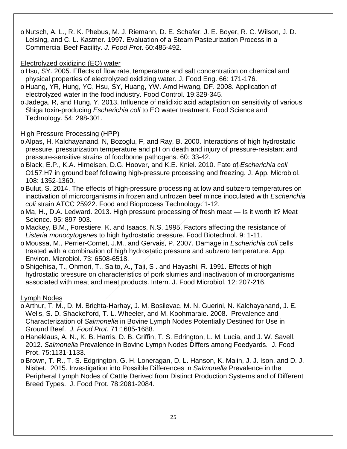o Nutsch, A. L., R. K. Phebus, M. J. Riemann, D. E. Schafer, J. E. Boyer, R. C. Wilson, J. D. Leising, and C. L. Kastner. 1997. Evaluation of a Steam Pasteurization Process in a Commercial Beef Facility. *J. Food Prot*. 60:485-492.

#### Electrolyzed oxidizing (EO) water

- o Hsu, SY. 2005. Effects of flow rate, temperature and salt concentration on chemical and physical properties of electrolyzed oxidizing water. J. Food Eng. 66: 171-176.
- o Huang, YR, Hung, YC, Hsu, SY, Huang, YW. Amd Hwang, DF. 2008. Application of electrolyzed water in the food industry. Food Control. 19:329-345.
- oJadega, R, and Hung, Y. 2013. Influence of nalidixic acid adaptation on sensitivity of various Shiga toxin-producing *Escherichia coli* to EO water treatment. Food Science and Technology. 54: 298-301.

### High Pressure Processing (HPP)

- oAlpas, H, Kalchayanand, N, Bozoglu, F, and Ray, B. 2000. Interactions of high hydrostatic pressure, pressurization temperature and pH on death and injury of pressure-resistant and pressure-sensitive strains of foodborne pathogens. 60: 33-42.
- oBlack, E.P., K.A. Hirneisen, D.G. Hoover, and K.E. Kniel. 2010. Fate of *Escherichia coli* O157:H7 in ground beef following high-pressure processing and freezing. J. App. Microbiol. 108: 1352-1360.
- oBulut, S. 2014. The effects of high-pressure processing at low and subzero temperatures on inactivation of microorganisms in frozen and unfrozen beef mince inoculated with *Escherichia coli* strain ATCC 25922. Food and Bioprocess Technology. 1-12.
- o Ma, H., D.A. Ledward. 2013. High pressure processing of fresh meat Is it worth it? Meat Science. 95: 897-903.
- o Mackey, B.M., Forestiere, K. and Isaacs, N.S. 1995. Factors affecting the resistance of *Listeria monocytogenes* to high hydrostatic pressure. Food Biotechnol. 9: 1-11.
- o Moussa, M., Perrier-Cornet, J.M., and Gervais, P. 2007. Damage in *Escherichia coli* cells treated with a combination of high hydrostatic pressure and subzero temperature. App. Environ. Microbiol. 73: 6508-6518.
- oShigehisa, T., Ohmori, T., Saito, A., Taji, S . and Hayashi, R. 1991. Effects of high hydrostatic pressure on characteristics of pork slurries and inactivation of microorganisms associated with meat and meat products. Intern. J. Food Microbiol. 12: 207-216.

Lymph Nodes

- oArthur, T. M., D. M. Brichta-Harhay, J. M. Bosilevac, M. N. Guerini, N. Kalchayanand, J. E. Wells, S. D. Shackelford, T. L. Wheeler, and M. Koohmaraie. 2008. Prevalence and Characterization of *Salmonella* in Bovine Lymph Nodes Potentially Destined for Use in Ground Beef. *J. Food Prot.* 71:1685-1688.
- o Haneklaus, A. N., K. B. Harris, D. B. Griffin, T. S. Edrington, L. M. Lucia, and J. W. Savell. 2012. *Salmonella* Prevalence in Bovine Lymph Nodes Differs among Feedyards. J. Food Prot. 75:1131-1133.
- oBrown, T. R., T. S. Edgrington, G. H. Loneragan, D. L. Hanson, K. Malin, J. J. Ison, and D. J. Nisbet. 2015. Investigation into Possible Differences in *Salmonella* Prevalence in the Peripheral Lymph Nodes of Cattle Derived from Distinct Production Systems and of Different Breed Types. J. Food Prot. 78:2081-2084.